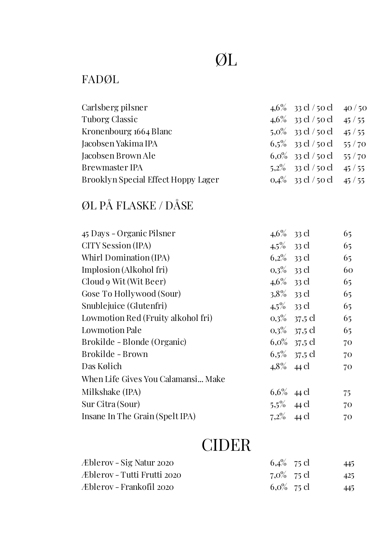## ØL

#### FADØL

| Carlsberg pilsner                   | 4,6\% 33 cl / 50 cl 40 / 50   |  |
|-------------------------------------|-------------------------------|--|
| Tuborg Classic                      | 4,6\% 33 cl / 50 cl 45 / 55   |  |
| Kronenbourg 1664 Blanc              | $5.0\%$ 33 cl / 50 cl 45 / 55 |  |
| Jacobsen Yakima IPA                 | $6,5\%$ 33 cl / 50 cl 55 / 70 |  |
| Jacobsen Brown Ale                  | $6.0\%$ 33 cl / 50 cl 55 / 70 |  |
| <b>Brewmaster IPA</b>               | $5,2\%$ 33 cl / 50 cl 45 / 55 |  |
| Brooklyn Special Effect Hoppy Lager | $0.4\%$ 33 cl / 50 cl 45 / 55 |  |

### ØL PÅ FLASKE / DÅSE

| 45 Days - Organic Pilsner          | 4,6\% 33 cl   |                 | 65 |
|------------------------------------|---------------|-----------------|----|
| CITY Session (IPA)                 | $4.5\%$ 33 cl |                 | 65 |
| Whirl Domination (IPA)             | $6,2\%$ 33 cl |                 | 65 |
| Implosion (Alkohol fri)            | $0.3\%$ 33 cl |                 | 60 |
| Cloud 9 Wit (Wit Beer)             | 4,6\% 33 cl   |                 | 65 |
| Gose To Hollywood (Sour)           | $3.8\%$ 33 cl |                 | 65 |
| Snublejuice (Glutenfri)            | $4.5\%$ 33 cl |                 | 65 |
| Lowmotion Red (Fruity alkohol fri) |               | $0.3\%$ 37,5 cl | 65 |
| Lowmotion Pale                     |               | $0.3\%$ 37,5 cl | 65 |
| Brokilde - Blonde (Organic)        |               | $6,0\%$ 37,5 cl | 70 |
| Brokilde - Brown                   |               | $6,5\%$ 37,5 cl | 70 |
| Das Kølich                         | $4.8\%$ 44 cl |                 | 70 |
| When Life Gives You Calamansi Make |               |                 |    |
| Milkshake (IPA)                    | $6.6\%$ 44 cl |                 | 75 |
| Sur Citra (Sour)                   | $5.5\%$ 44 cl |                 | 70 |
| Insane In The Grain (Spelt IPA)    | $7,2\%$ 44 cl |                 | 70 |

## CIDER

| Æblerov - Sig Natur 2020    | $6.4\%$ 75 cl | 445 |
|-----------------------------|---------------|-----|
| Æblerov - Tutti Frutti 2020 | $7.0\%$ 75 cl | 425 |
| Æblerov - Frankofil 2020    | $6.0\%$ 75 cl | 445 |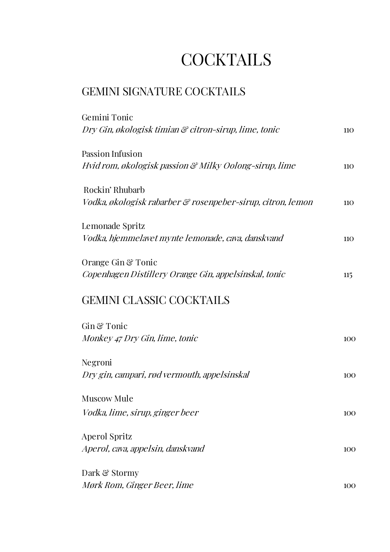## **COCKTAILS**

#### GEMINI SIGNATURE COCKTAILS

| Gemini Tonic<br>Dry Gin, økologisk timian & citron-sirup, lime, tonic          | 110 |
|--------------------------------------------------------------------------------|-----|
| Passion Infusion<br>Hvid rom, økologisk passion & Milky Oolong-sirup, lime     | 110 |
| Rockin' Rhubarb<br>Vodka, økologisk rabarber & rosenpeber-sirup, citron, lemon | 110 |
| Lemonade Spritz<br>Vodka, hjemmelavet mynte lemonade, cava, danskvand          | 110 |
| Orange Gin & Tonic<br>Copenhagen Distillery Orange Gin, appelsinskal, tonic    | 115 |
| <b>GEMINI CLASSIC COCKTAILS</b>                                                |     |
| Gin & Tonic<br>Monkey 47 Dry Gin, lime, tonic                                  | 100 |
| Negroni<br>Dry gin, campari, rød vermouth, appelsinskal                        | 100 |
| Muscow Mule<br>Vodka, lime, sirup, ginger beer                                 | 100 |
| <b>Aperol Spritz</b><br>Aperol, cava, appelsin, danskvand                      | 100 |
| Dark & Stormy<br>Mørk Rom, Ginger Beer, lime                                   | 100 |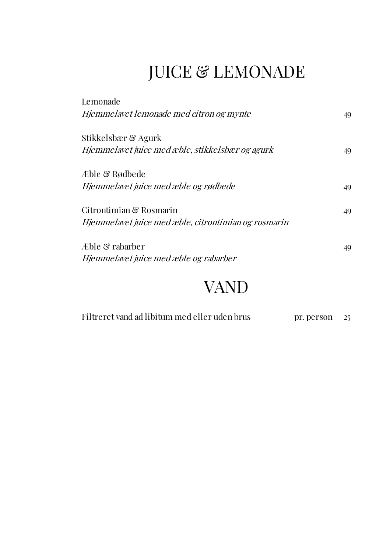# JUICE & LEMONADE

| Lemonade                                             |    |
|------------------------------------------------------|----|
| Hiemmelavet lemonade med citron og mynte             | 49 |
| Stikkelsbær & Agurk                                  |    |
| Hjemmelavet juice med æble, stikkelsbær og agurk     | 49 |
| Æble & Rødbede                                       |    |
| Hjemmelavet juice med æble og rødbede                | 49 |
| Citrontimian & Rosmarin                              | 49 |
| Hjemmelavet juice med æble, citrontimian og rosmarin |    |
| Æble & rabarber                                      | 49 |
| Hjemmelavet juice med æble og rabarber               |    |

### VAND

| Filtreret vand ad libitum med eller uden brus | pr. person 25 |  |
|-----------------------------------------------|---------------|--|
|                                               |               |  |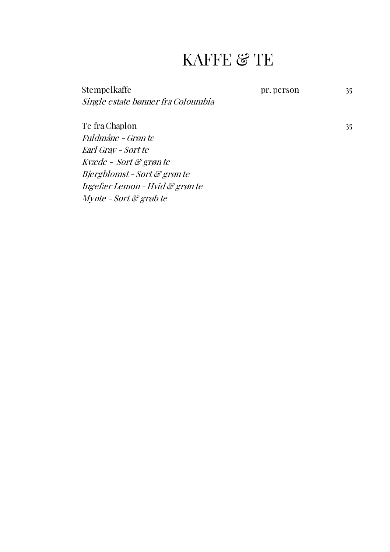### KAFFE & TE

Stempelkaffe pr. person 35 Single estate bønner fra Coloumbia

Te fra Chaplon 35 Fuldmåne - Grøn te Earl Gray - Sort te Kvæde - Sort & grøn te Bjergblomst - Sort & grøn te Ingefær Lemon - Hvid & grøn te Mynte - Sort & grøb te